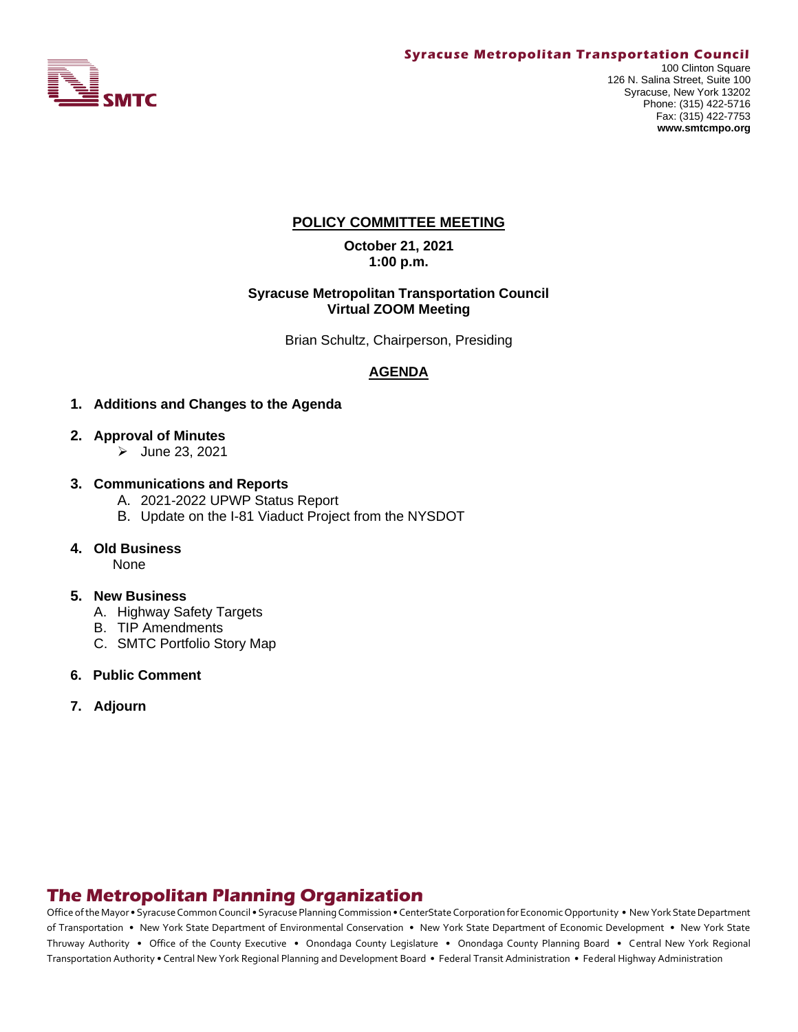

# **POLICY COMMITTEE MEETING**

**October 21, 2021 1:00 p.m.**

#### **Syracuse Metropolitan Transportation Council Virtual ZOOM Meeting**

Brian Schultz, Chairperson, Presiding

# **AGENDA**

- **1. Additions and Changes to the Agenda**
- **2. Approval of Minutes**
	- ➢ June 23, 2021
- **3. Communications and Reports** 
	- A. 2021-2022 UPWP Status Report
	- B. Update on the I-81 Viaduct Project from the NYSDOT
- **4. Old Business**

None

#### **5. New Business**

- A. Highway Safety Targets
- B. TIP Amendments
- C. SMTC Portfolio Story Map
- **6. Public Comment**
- **7. Adjourn**

# **The Metropolitan Planning Organization**

Office of the Mayor • Syracuse Common Council • Syracuse Planning Commission • CenterState Corporation for Economic Opportunity • New York State Department of Transportation • New York State Department of Environmental Conservation • New York State Department of Economic Development • New York State Thruway Authority • Office of the County Executive • Onondaga County Legislature • Onondaga County Planning Board • Central New York Regional Transportation Authority • Central New York Regional Planning and Development Board • Federal Transit Administration • Federal Highway Administration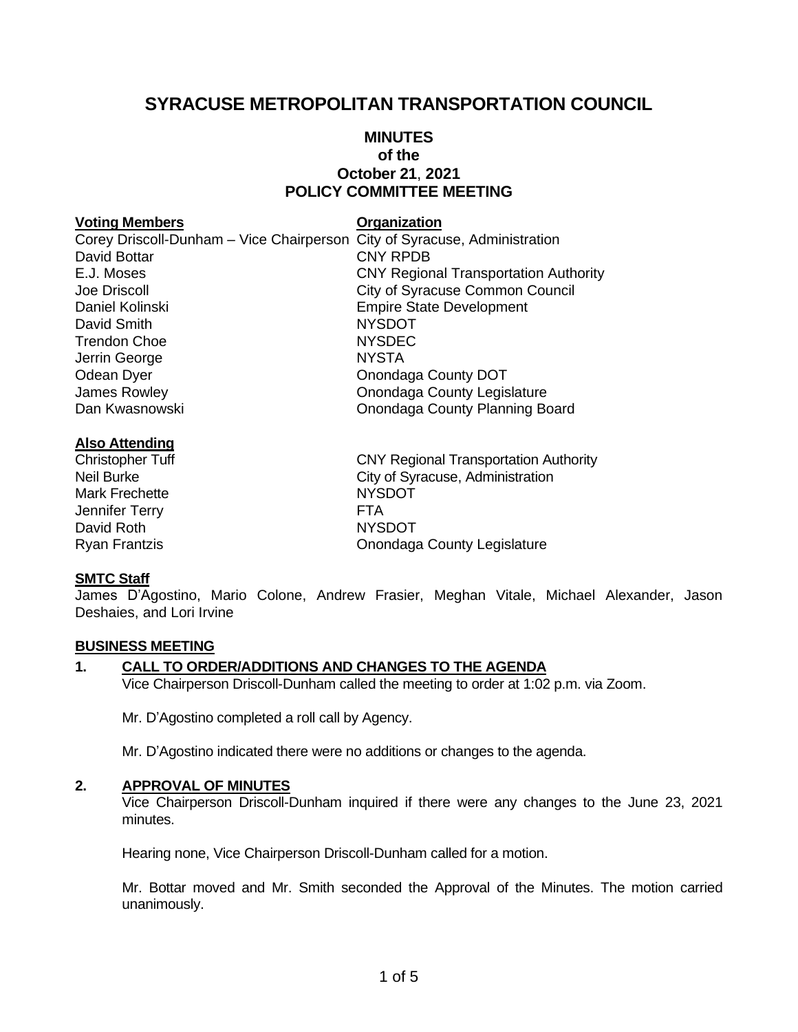# **SYRACUSE METROPOLITAN TRANSPORTATION COUNCIL**

# **MINUTES of the October 21**, **2021 POLICY COMMITTEE MEETING**

#### **Voting Members Organization**

Corey Driscoll-Dunham – Vice Chairperson City of Syracuse, Administration David Bottar **CNY RPDB** E.J. Moses CNY Regional Transportation Authority Joe Driscoll City of Syracuse Common Council Daniel Kolinski **Empire State Development** David Smith NYSDOT Trendon Choe NYSDEC Jerrin George NYSTA Odean Dyer **Onondaga County DOT** James Rowley Onondaga County Legislature Dan Kwasnowski Onondaga County Planning Board

#### **Also Attending**

Mark Frechette NYSDOT Jennifer Terry **FTA** David Roth NYSDOT

# Christopher Tuff Christopher Tuff Christopher Tuff Christopher Tuff Christopher Tuff Christopher Christopher C Neil Burke City of Syracuse, Administration

Ryan Frantzis Onondaga County Legislature

#### **SMTC Staff**

James D'Agostino, Mario Colone, Andrew Frasier, Meghan Vitale, Michael Alexander, Jason Deshaies, and Lori Irvine

#### **BUSINESS MEETING**

#### **1. CALL TO ORDER/ADDITIONS AND CHANGES TO THE AGENDA**

Vice Chairperson Driscoll-Dunham called the meeting to order at 1:02 p.m. via Zoom.

Mr. D'Agostino completed a roll call by Agency.

Mr. D'Agostino indicated there were no additions or changes to the agenda.

#### **2. APPROVAL OF MINUTES**

Vice Chairperson Driscoll-Dunham inquired if there were any changes to the June 23, 2021 minutes.

Hearing none, Vice Chairperson Driscoll-Dunham called for a motion.

Mr. Bottar moved and Mr. Smith seconded the Approval of the Minutes. The motion carried unanimously.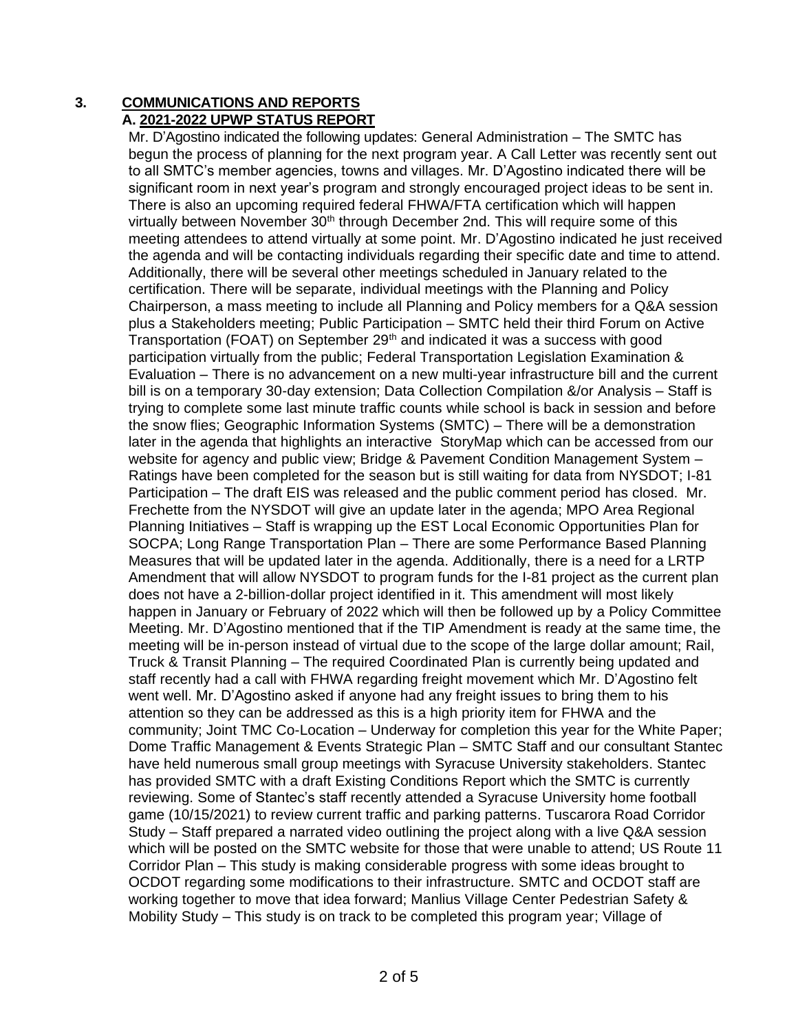#### **3. COMMUNICATIONS AND REPORTS A. 2021-2022 UPWP STATUS REPORT**

Mr. D'Agostino indicated the following updates: General Administration – The SMTC has begun the process of planning for the next program year. A Call Letter was recently sent out to all SMTC's member agencies, towns and villages. Mr. D'Agostino indicated there will be significant room in next year's program and strongly encouraged project ideas to be sent in. There is also an upcoming required federal FHWA/FTA certification which will happen virtually between November 30<sup>th</sup> through December 2nd. This will require some of this meeting attendees to attend virtually at some point. Mr. D'Agostino indicated he just received the agenda and will be contacting individuals regarding their specific date and time to attend. Additionally, there will be several other meetings scheduled in January related to the certification. There will be separate, individual meetings with the Planning and Policy Chairperson, a mass meeting to include all Planning and Policy members for a Q&A session plus a Stakeholders meeting; Public Participation – SMTC held their third Forum on Active Transportation (FOAT) on September 29<sup>th</sup> and indicated it was a success with good participation virtually from the public; Federal Transportation Legislation Examination & Evaluation – There is no advancement on a new multi-year infrastructure bill and the current bill is on a temporary 30-day extension; Data Collection Compilation &/or Analysis – Staff is trying to complete some last minute traffic counts while school is back in session and before the snow flies; Geographic Information Systems (SMTC) – There will be a demonstration later in the agenda that highlights an interactive StoryMap which can be accessed from our website for agency and public view; Bridge & Pavement Condition Management System – Ratings have been completed for the season but is still waiting for data from NYSDOT; I-81 Participation – The draft EIS was released and the public comment period has closed. Mr. Frechette from the NYSDOT will give an update later in the agenda; MPO Area Regional Planning Initiatives – Staff is wrapping up the EST Local Economic Opportunities Plan for SOCPA; Long Range Transportation Plan – There are some Performance Based Planning Measures that will be updated later in the agenda. Additionally, there is a need for a LRTP Amendment that will allow NYSDOT to program funds for the I-81 project as the current plan does not have a 2-billion-dollar project identified in it. This amendment will most likely happen in January or February of 2022 which will then be followed up by a Policy Committee Meeting. Mr. D'Agostino mentioned that if the TIP Amendment is ready at the same time, the meeting will be in-person instead of virtual due to the scope of the large dollar amount; Rail, Truck & Transit Planning – The required Coordinated Plan is currently being updated and staff recently had a call with FHWA regarding freight movement which Mr. D'Agostino felt went well. Mr. D'Agostino asked if anyone had any freight issues to bring them to his attention so they can be addressed as this is a high priority item for FHWA and the community; Joint TMC Co-Location – Underway for completion this year for the White Paper; Dome Traffic Management & Events Strategic Plan – SMTC Staff and our consultant Stantec have held numerous small group meetings with Syracuse University stakeholders. Stantec has provided SMTC with a draft Existing Conditions Report which the SMTC is currently reviewing. Some of Stantec's staff recently attended a Syracuse University home football game (10/15/2021) to review current traffic and parking patterns. Tuscarora Road Corridor Study – Staff prepared a narrated video outlining the project along with a live Q&A session which will be posted on the SMTC website for those that were unable to attend; US Route 11 Corridor Plan – This study is making considerable progress with some ideas brought to OCDOT regarding some modifications to their infrastructure. SMTC and OCDOT staff are working together to move that idea forward; Manlius Village Center Pedestrian Safety & Mobility Study – This study is on track to be completed this program year; Village of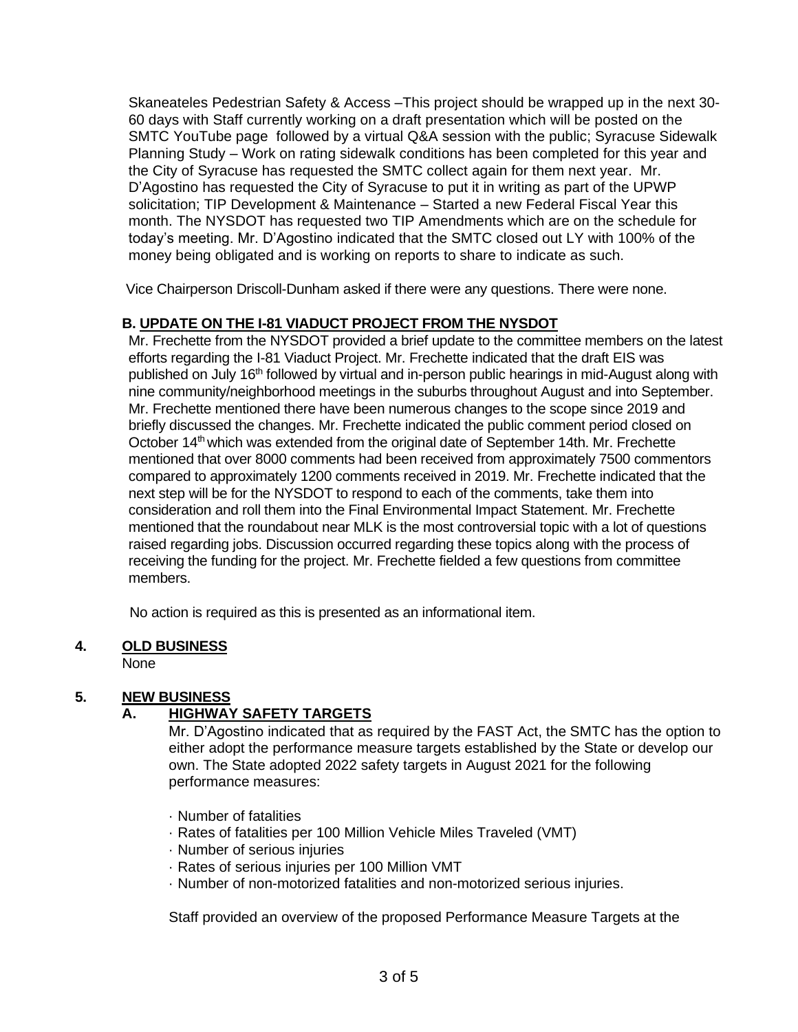Skaneateles Pedestrian Safety & Access –This project should be wrapped up in the next 30- 60 days with Staff currently working on a draft presentation which will be posted on the SMTC YouTube page followed by a virtual Q&A session with the public; Syracuse Sidewalk Planning Study – Work on rating sidewalk conditions has been completed for this year and the City of Syracuse has requested the SMTC collect again for them next year. Mr. D'Agostino has requested the City of Syracuse to put it in writing as part of the UPWP solicitation; TIP Development & Maintenance – Started a new Federal Fiscal Year this month. The NYSDOT has requested two TIP Amendments which are on the schedule for today's meeting. Mr. D'Agostino indicated that the SMTC closed out LY with 100% of the money being obligated and is working on reports to share to indicate as such.

Vice Chairperson Driscoll-Dunham asked if there were any questions. There were none.

# **B. UPDATE ON THE I-81 VIADUCT PROJECT FROM THE NYSDOT**

Mr. Frechette from the NYSDOT provided a brief update to the committee members on the latest efforts regarding the I-81 Viaduct Project. Mr. Frechette indicated that the draft EIS was published on July 16<sup>th</sup> followed by virtual and in-person public hearings in mid-August along with nine community/neighborhood meetings in the suburbs throughout August and into September. Mr. Frechette mentioned there have been numerous changes to the scope since 2019 and briefly discussed the changes. Mr. Frechette indicated the public comment period closed on October 14<sup>th</sup> which was extended from the original date of September 14th. Mr. Frechette mentioned that over 8000 comments had been received from approximately 7500 commentors compared to approximately 1200 comments received in 2019. Mr. Frechette indicated that the next step will be for the NYSDOT to respond to each of the comments, take them into consideration and roll them into the Final Environmental Impact Statement. Mr. Frechette mentioned that the roundabout near MLK is the most controversial topic with a lot of questions raised regarding jobs. Discussion occurred regarding these topics along with the process of receiving the funding for the project. Mr. Frechette fielded a few questions from committee members.

No action is required as this is presented as an informational item.

# **4. OLD BUSINESS**

None

# **5. NEW BUSINESS**

# **A. HIGHWAY SAFETY TARGETS**

Mr. D'Agostino indicated that as required by the FAST Act, the SMTC has the option to either adopt the performance measure targets established by the State or develop our own. The State adopted 2022 safety targets in August 2021 for the following performance measures:

- · Number of fatalities
- · Rates of fatalities per 100 Million Vehicle Miles Traveled (VMT)
- · Number of serious injuries
- · Rates of serious injuries per 100 Million VMT
- · Number of non-motorized fatalities and non-motorized serious injuries.

Staff provided an overview of the proposed Performance Measure Targets at the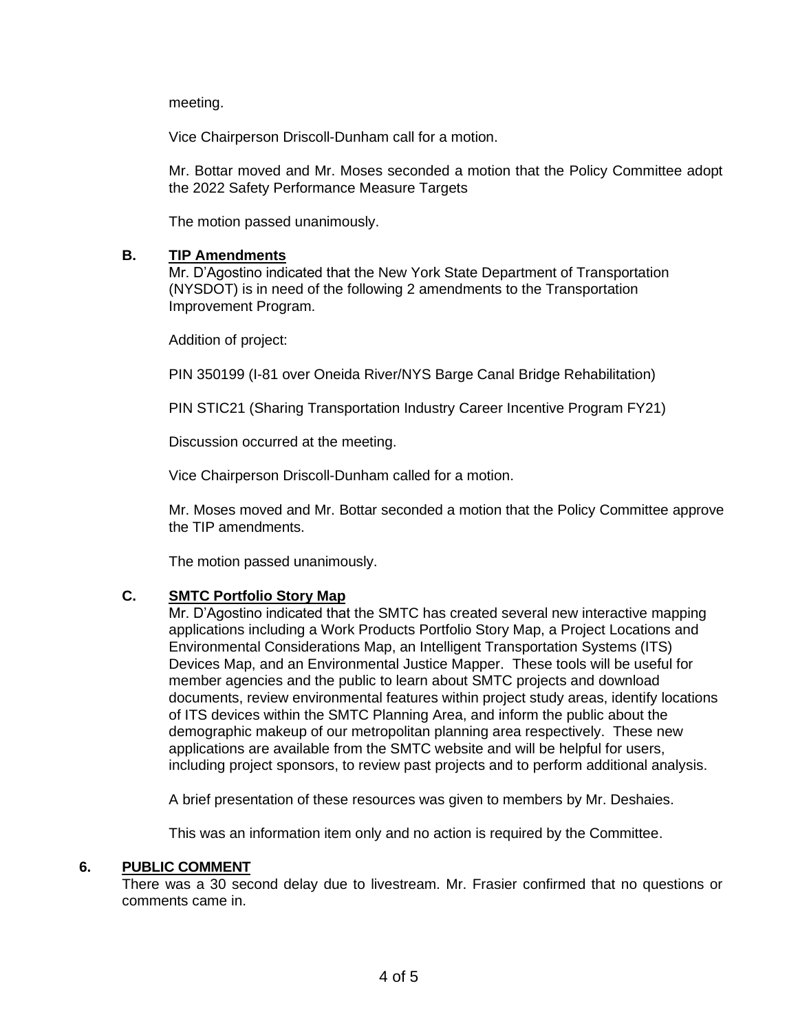meeting.

Vice Chairperson Driscoll-Dunham call for a motion.

Mr. Bottar moved and Mr. Moses seconded a motion that the Policy Committee adopt the 2022 Safety Performance Measure Targets

The motion passed unanimously.

### **B. TIP Amendments**

Mr. D'Agostino indicated that the New York State Department of Transportation (NYSDOT) is in need of the following 2 amendments to the Transportation Improvement Program.

Addition of project:

PIN 350199 (I-81 over Oneida River/NYS Barge Canal Bridge Rehabilitation)

PIN STIC21 (Sharing Transportation Industry Career Incentive Program FY21)

Discussion occurred at the meeting.

Vice Chairperson Driscoll-Dunham called for a motion.

Mr. Moses moved and Mr. Bottar seconded a motion that the Policy Committee approve the TIP amendments.

The motion passed unanimously.

# **C. SMTC Portfolio Story Map**

Mr. D'Agostino indicated that the SMTC has created several new interactive mapping applications including a Work Products Portfolio Story Map, a Project Locations and Environmental Considerations Map, an Intelligent Transportation Systems (ITS) Devices Map, and an Environmental Justice Mapper. These tools will be useful for member agencies and the public to learn about SMTC projects and download documents, review environmental features within project study areas, identify locations of ITS devices within the SMTC Planning Area, and inform the public about the demographic makeup of our metropolitan planning area respectively. These new applications are available from the SMTC website and will be helpful for users, including project sponsors, to review past projects and to perform additional analysis.

A brief presentation of these resources was given to members by Mr. Deshaies.

This was an information item only and no action is required by the Committee.

# **6. PUBLIC COMMENT**

There was a 30 second delay due to livestream. Mr. Frasier confirmed that no questions or comments came in.